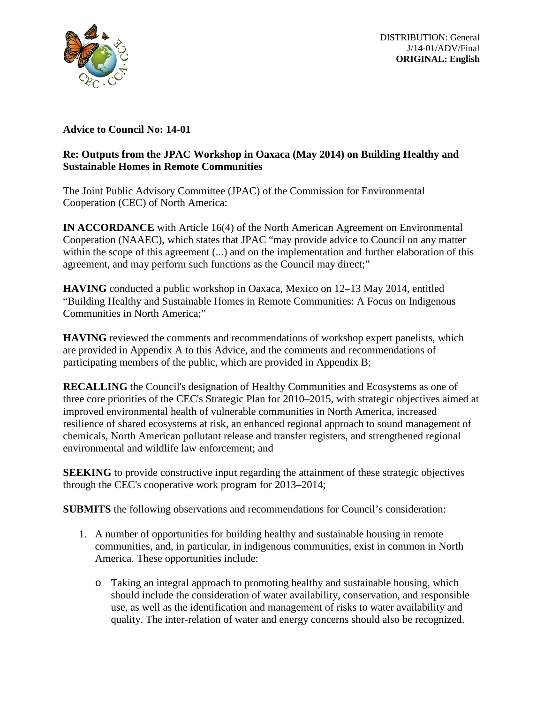

DISTRIBUTION: General J/14-01/ADV/Final **ORIGINAL: English**

## **Advice to Council No: 14-01**

## **Re: Outputs from the JPAC Workshop in Oaxaca (May 2014) on Building Healthy and Sustainable Homes in Remote Communities**

The Joint Public Advisory Committee (JPAC) of the Commission for Environmental Cooperation (CEC) of North America:

**IN ACCORDANCE** with Article 16(4) of the North American Agreement on Environmental Cooperation (NAAEC), which states that JPAC "may provide advice to Council on any matter within the scope of this agreement (...) and on the implementation and further elaboration of this agreement, and may perform such functions as the Council may direct;"

**HAVING** conducted a public workshop in Oaxaca, Mexico on 12–13 May 2014, entitled "Building Healthy and Sustainable Homes in Remote Communities: A Focus on Indigenous Communities in North America;"

**HAVING** reviewed the comments and recommendations of workshop expert panelists, which are provided in Appendix A to this Advice, and the comments and recommendations of participating members of the public, which are provided in Appendix B;

**RECALLING** the Council's designation of Healthy Communities and Ecosystems as one of three core priorities of the CEC's Strategic Plan for 2010–2015, with strategic objectives aimed at improved environmental health of vulnerable communities in North America, increased resilience of shared ecosystems at risk, an enhanced regional approach to sound management of chemicals, North American pollutant release and transfer registers, and strengthened regional environmental and wildlife law enforcement; and

**SEEKING** to provide constructive input regarding the attainment of these strategic objectives through the CEC's cooperative work program for 2013–2014;

**SUBMITS** the following observations and recommendations for Council's consideration:

- 1. A number of opportunities for building healthy and sustainable housing in remote communities, and, in particular, in indigenous communities, exist in common in North America. These opportunities include:
	- o Taking an integral approach to promoting healthy and sustainable housing, which should include the consideration of water availability, conservation, and responsible use, as well as the identification and management of risks to water availability and quality. The inter-relation of water and energy concerns should also be recognized.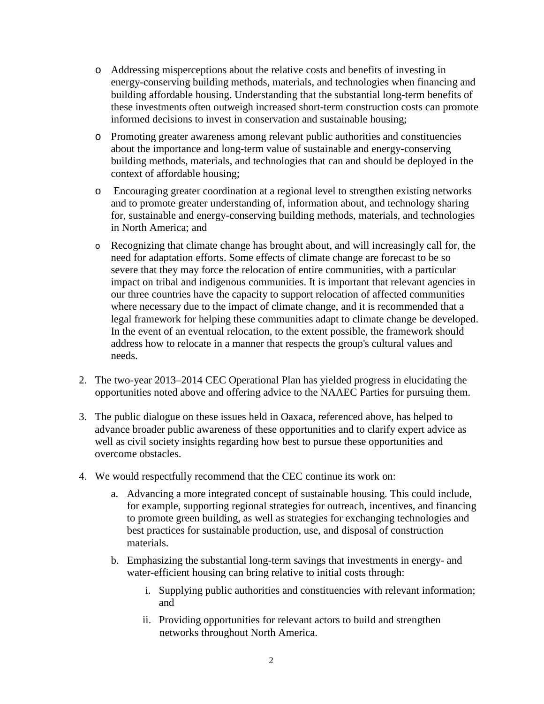- o Addressing misperceptions about the relative costs and benefits of investing in energy-conserving building methods, materials, and technologies when financing and building affordable housing. Understanding that the substantial long-term benefits of these investments often outweigh increased short-term construction costs can promote informed decisions to invest in conservation and sustainable housing;
- o Promoting greater awareness among relevant public authorities and constituencies about the importance and long-term value of sustainable and energy-conserving building methods, materials, and technologies that can and should be deployed in the context of affordable housing;
- o Encouraging greater coordination at a regional level to strengthen existing networks and to promote greater understanding of, information about, and technology sharing for, sustainable and energy-conserving building methods, materials, and technologies in North America; and
- o Recognizing that climate change has brought about, and will increasingly call for, the need for adaptation efforts. Some effects of climate change are forecast to be so severe that they may force the relocation of entire communities, with a particular impact on tribal and indigenous communities. It is important that relevant agencies in our three countries have the capacity to support relocation of affected communities where necessary due to the impact of climate change, and it is recommended that a legal framework for helping these communities adapt to climate change be developed. In the event of an eventual relocation, to the extent possible, the framework should address how to relocate in a manner that respects the group's cultural values and needs.
- 2. The two-year 2013–2014 CEC Operational Plan has yielded progress in elucidating the opportunities noted above and offering advice to the NAAEC Parties for pursuing them.
- 3. The public dialogue on these issues held in Oaxaca, referenced above, has helped to advance broader public awareness of these opportunities and to clarify expert advice as well as civil society insights regarding how best to pursue these opportunities and overcome obstacles.
- 4. We would respectfully recommend that the CEC continue its work on:
	- a. Advancing a more integrated concept of sustainable housing. This could include, for example, supporting regional strategies for outreach, incentives, and financing to promote green building, as well as strategies for exchanging technologies and best practices for sustainable production, use, and disposal of construction materials.
	- b. Emphasizing the substantial long-term savings that investments in energy- and water-efficient housing can bring relative to initial costs through:
		- i. Supplying public authorities and constituencies with relevant information; and
		- ii. Providing opportunities for relevant actors to build and strengthen networks throughout North America.